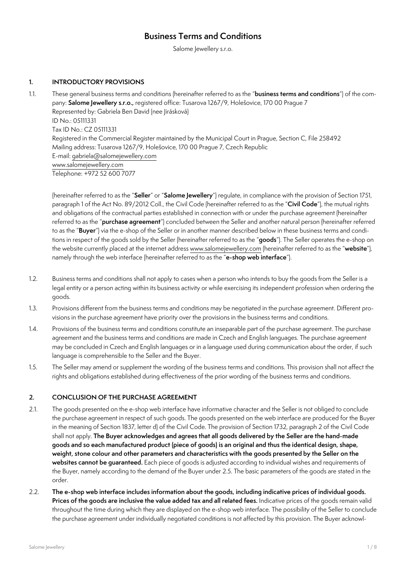# **Business Terms and Conditions**

Salome Jewellery s.r.o.

# **1. INTRODUCTORY PROVISIONS**

1.1. These general business terms and conditions (hereinafter referred to as the "**business terms and conditions**") of the company: **Salome Jewellery s.r.o.,** registered office: Tusarova 1267/9, Holešovice, 170 00 Prague 7 Represented by: Gabriela Ben David (nee Jirásková) ID No.: 05111331 Tax ID No.: CZ 05111331 Registered in the Commercial Register maintained by the Municipal Court in Prague, Section C, File 258492 Mailing address: Tusarova 1267/9, Holešovice, 170 00 Prague 7, Czech Republic E-mail: [gabriela@salomejewellery.com](mailto:gabriela%40salomejewellery.com?subject=) [www.salomejewellery.com](http://www.salomejewellery.com) Telephone: +972 52 600 7077

(hereinafter referred to as the "**Seller**" or "**Salome Jewellery**") regulate, in compliance with the provision of Section 1751, paragraph 1 of the Act No. 89/2012 Coll., the Civil Code (hereinafter referred to as the "**Civil Code**"), the mutual rights and obligations of the contractual parties established in connection with or under the purchase agreement (hereinafter referred to as the "**purchase agreement**") concluded between the Seller and another natural person (hereinafter referred to as the "**Buyer**") via the e-shop of the Seller or in another manner described below in these business terms and conditions in respect of the goods sold by the Seller (hereinafter referred to as the "**goods**"). The Seller operates the e-shop on the website currently placed at the internet address [www.salomejewellery.com](http://www.salomejewellery.com) (hereinafter referred to as the "**website**"), namely through the web interface (hereinafter referred to as the "**e-shop web interface**").

- 1.2. Business terms and conditions shall not apply to cases when a person who intends to buy the goods from the Seller is a legal entity or a person acting within its business activity or while exercising its independent profession when ordering the goods.
- 1.3. Provisions different from the business terms and conditions may be negotiated in the purchase agreement. Different provisions in the purchase agreement have priority over the provisions in the business terms and conditions.
- 1.4. Provisions of the business terms and conditions constitute an inseparable part of the purchase agreement. The purchase agreement and the business terms and conditions are made in Czech and English languages. The purchase agreement may be concluded in Czech and English languages or in a language used during communication about the order, if such language is comprehensible to the Seller and the Buyer.
- 1.5. The Seller may amend or supplement the wording of the business terms and conditions. This provision shall not affect the rights and obligations established during effectiveness of the prior wording of the business terms and conditions.

## **2. CONCLUSION OF THE PURCHASE AGREEMENT**

- 2.1. The goods presented on the e-shop web interface have informative character and the Seller is not obliged to conclude the purchase agreement in respect of such goods. The goods presented on the web interface are produced for the Buyer in the meaning of Section 1837, letter d) of the Civil Code. The provision of Section 1732, paragraph 2 of the Civil Code shall not apply. **The Buyer acknowledges and agrees that all goods delivered by the Seller are the hand-made goods and so each manufactured product (piece of goods) is an original and thus the identical design, shape, weight, stone colour and other parameters and characteristics with the goods presented by the Seller on the websites cannot be guaranteed.** Each piece of goods is adjusted according to individual wishes and requirements of the Buyer, namely according to the demand of the Buyer under 2.5. The basic parameters of the goods are stated in the order.
- 2.2. **The e-shop web interface includes information about the goods, including indicative prices of individual goods. Prices of the goods are inclusive the value added tax and all related fees.** Indicative prices of the goods remain valid throughout the time during which they are displayed on the e-shop web interface. The possibility of the Seller to conclude the purchase agreement under individually negotiated conditions is not affected by this provision. The Buyer acknowl-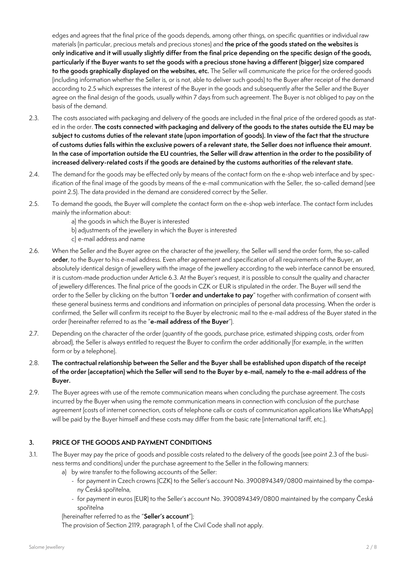edges and agrees that the final price of the goods depends, among other things, on specific quantities or individual raw materials (in particular, precious metals and precious stones) and **the price of the goods stated on the websites is only indicative and it will usually slightly differ from the final price depending on the specific design of the goods, particularly if the Buyer wants to set the goods with a precious stone having a different (bigger) size compared to the goods graphically displayed on the websites, etc.** The Seller will communicate the price for the ordered goods (including information whether the Seller is, or is not, able to deliver such goods) to the Buyer after receipt of the demand according to 2.5 which expresses the interest of the Buyer in the goods and subsequently after the Seller and the Buyer agree on the final design of the goods, usually within 7 days from such agreement. The Buyer is not obliged to pay on the basis of the demand.

- 2.3. The costs associated with packaging and delivery of the goods are included in the final price of the ordered goods as stated in the order. **The costs connected with packaging and delivery of the goods to the states outside the EU may be subject to customs duties of the relevant state (upon importation of goods). In view of the fact that the structure of customs duties falls within the exclusive powers of a relevant state, the Seller does not influence their amount. In the case of importation outside the EU countries, the Seller will draw attention in the order to the possibility of increased delivery-related costs if the goods are detained by the customs authorities of the relevant state.**
- 2.4. The demand for the goods may be effected only by means of the contact form on the e-shop web interface and by specification of the final image of the goods by means of the e-mail communication with the Seller, the so-called demand (see point 2.5). The data provided in the demand are considered correct by the Seller.
- 2.5. To demand the goods, the Buyer will complete the contact form on the e-shop web interface. The contact form includes mainly the information about:
	- a) the goods in which the Buyer is interested
	- b) adjustments of the jewellery in which the Buyer is interested
	- c) e-mail address and name
- 2.6. When the Seller and the Buyer agree on the character of the jewellery, the Seller will send the order form, the so-called **order**, to the Buyer to his e-mail address. Even after agreement and specification of all requirements of the Buyer, an absolutely identical design of jewellery with the image of the jewellery according to the web interface cannot be ensured, it is custom-made production under Article 6.3. At the Buyer's request, it is possible to consult the quality and character of jewellery differences. The final price of the goods in CZK or EUR is stipulated in the order. The Buyer will send the order to the Seller by clicking on the button "**I order and undertake to pay**" together with confirmation of consent with these general business terms and conditions and information on principles of personal data processing. When the order is confirmed, the Seller will confirm its receipt to the Buyer by electronic mail to the e-mail address of the Buyer stated in the order (hereinafter referred to as the "**e-mail address of the Buyer**").
- 2.7. Depending on the character of the order (quantity of the goods, purchase price, estimated shipping costs, order from abroad), the Seller is always entitled to request the Buyer to confirm the order additionally (for example, in the written form or by a telephone).
- 2.8. **The contractual relationship between the Seller and the Buyer shall be established upon dispatch of the receipt of the order (acceptation) which the Seller will send to the Buyer by e-mail, namely to the e-mail address of the Buyer.**
- 2.9. The Buyer agrees with use of the remote communication means when concluding the purchase agreement. The costs incurred by the Buyer when using the remote communication means in connection with conclusion of the purchase agreement (costs of internet connection, costs of telephone calls or costs of communication applications like WhatsApp) will be paid by the Buyer himself and these costs may differ from the basic rate (international tariff, etc.).

## **3. PRICE OF THE GOODS AND PAYMENT CONDITIONS**

- 3.1. The Buyer may pay the price of goods and possible costs related to the delivery of the goods (see point 2.3 of the business terms and conditions) under the purchase agreement to the Seller in the following manners:
	- a) by wire transfer to the following accounts of the Seller:
		- for payment in Czech crowns (CZK) to the Seller's account No. 3900894349/0800 maintained by the company Česká spořitelna,
		- for payment in euros (EUR) to the Seller's account No. 3900894349/0800 maintained by the company Česká spořitelna
	- (hereinafter referred to as the "**Seller's account**");

The provision of Section 2119, paragraph 1, of the Civil Code shall not apply.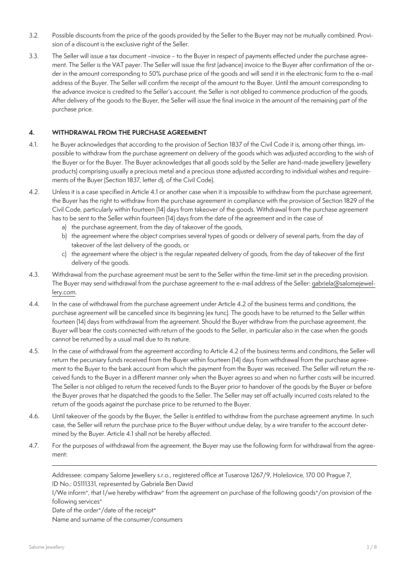- 3.2. Possible discounts from the price of the goods provided by the Seller to the Buyer may not be mutually combined. Provision of a discount is the exclusive right of the Seller.
- 3.3. The Seller will issue a tax document -invoice to the Buyer in respect of payments effected under the purchase agreement. The Seller is the VAT payer. The Seller will issue the first (advance) invoice to the Buyer after confirmation of the order in the amount corresponding to 50% purchase price of the goods and will send it in the electronic form to the e-mail address of the Buyer. The Seller will confirm the receipt of the amount to the Buyer. Until the amount corresponding to the advance invoice is credited to the Seller's account, the Seller is not obliged to commence production of the goods. After delivery of the goods to the Buyer, the Seller will issue the final invoice in the amount of the remaining part of the purchase price.

## **4. WITHDRAWAL FROM THE PURCHASE AGREEMENT**

- 4.1. he Buyer acknowledges that according to the provision of Section 1837 of the Civil Code it is, among other things, impossible to withdraw from the purchase agreement on delivery of the goods which was adjusted according to the wish of the Buyer or for the Buyer. The Buyer acknowledges that all goods sold by the Seller are hand-made jewellery (jewellery products) comprising usually a precious metal and a precious stone adjusted according to individual wishes and requirements of the Buyer (Section 1837, letter d), of the Civil Code).
- 4.2. Unless it is a case specified in Article 4.1 or another case when it is impossible to withdraw from the purchase agreement, the Buyer has the right to withdraw from the purchase agreement in compliance with the provision of Section 1829 of the Civil Code, particularly within fourteen (14) days from takeover of the goods. Withdrawal from the purchase agreement has to be sent to the Seller within fourteen (14) days from the date of the agreement and in the case of
	- a) the purchase agreement, from the day of takeover of the goods,
	- b) the agreement where the object comprises several types of goods or delivery of several parts, from the day of takeover of the last delivery of the goods, or
	- c) the agreement where the object is the regular repeated delivery of goods, from the day of takeover of the first delivery of the goods.
- 4.3. Withdrawal from the purchase agreement must be sent to the Seller within the time-limit set in the preceding provision. The Buyer may send withdrawal from the purchase agreement to the e-mail address of the Seller: [gabriela@salomejewel](mailto:gabriela%40salomejewellery.com?subject=)[lery.com.](mailto:gabriela%40salomejewellery.com?subject=)
- 4.4. In the case of withdrawal from the purchase agreement under Article 4.2 of the business terms and conditions, the purchase agreement will be cancelled since its beginning (ex tunc). The goods have to be returned to the Seller within fourteen (14) days from withdrawal from the agreement. Should the Buyer withdraw from the purchase agreement, the Buyer will bear the costs connected with return of the goods to the Seller, in particular also in the case when the goods cannot be returned by a usual mail due to its nature.
- 4.5. In the case of withdrawal from the agreement according to Article 4.2 of the business terms and conditions, the Seller will return the pecuniary funds received from the Buyer within fourteen (14) days from withdrawal from the purchase agreement to the Buyer to the bank account from which the payment from the Buyer was received. The Seller will return the received funds to the Buyer in a different manner only when the Buyer agrees so and when no further costs will be incurred. The Seller is not obliged to return the received funds to the Buyer prior to handover of the goods by the Buyer or before the Buyer proves that he dispatched the goods to the Seller. The Seller may set off actually incurred costs related to the return of the goods against the purchase price to be returned to the Buyer.
- 4.6. Until takeover of the goods by the Buyer, the Seller is entitled to withdraw from the purchase agreement anytime. In such case, the Seller will return the purchase price to the Buyer without undue delay, by a wire transfer to the account determined by the Buyer. Article 4.1 shall not be hereby affected.
- 4.7. For the purposes of withdrawal from the agreement, the Buyer may use the following form for withdrawal from the agreement:

Addressee: company Salome Jewellery s.r.o., registered office at Tusarova 1267/9, Holešovice, 170 00 Prague 7, ID No.: 05111331, represented by Gabriela Ben David

I/We inform\*, that I/we hereby withdraw\* from the agreement on purchase of the following goods\*/on provision of the following services\*

Date of the order\*/date of the receipt\*

Name and surname of the consumer/consumers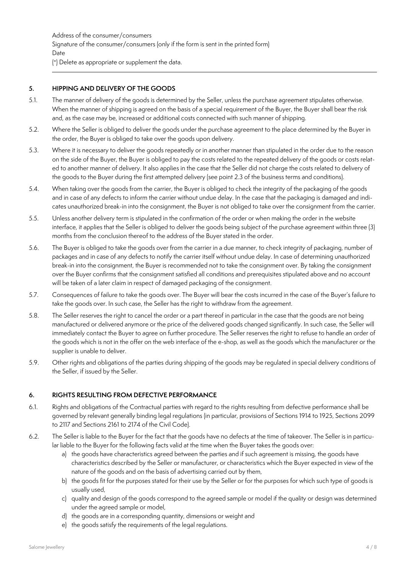Address of the consumer/consumers Signature of the consumer/consumers (only if the form is sent in the printed form) Date (\*) Delete as appropriate or supplement the data.

#### **5. HIPPING AND DELIVERY OF THE GOODS**

- 5.1. The manner of delivery of the goods is determined by the Seller, unless the purchase agreement stipulates otherwise. When the manner of shipping is agreed on the basis of a special requirement of the Buyer, the Buyer shall bear the risk and, as the case may be, increased or additional costs connected with such manner of shipping.
- 5.2. Where the Seller is obliged to deliver the goods under the purchase agreement to the place determined by the Buyer in the order, the Buyer is obliged to take over the goods upon delivery.
- 5.3. Where it is necessary to deliver the goods repeatedly or in another manner than stipulated in the order due to the reason on the side of the Buyer, the Buyer is obliged to pay the costs related to the repeated delivery of the goods or costs related to another manner of delivery. It also applies in the case that the Seller did not charge the costs related to delivery of the goods to the Buyer during the first attempted delivery (see point 2.3 of the business terms and conditions).
- 5.4. When taking over the goods from the carrier, the Buyer is obliged to check the integrity of the packaging of the goods and in case of any defects to inform the carrier without undue delay. In the case that the packaging is damaged and indicates unauthorized break-in into the consignment, the Buyer is not obliged to take over the consignment from the carrier.
- 5.5. Unless another delivery term is stipulated in the confirmation of the order or when making the order in the website interface, it applies that the Seller is obliged to deliver the goods being subject of the purchase agreement within three (3) months from the conclusion thereof to the address of the Buyer stated in the order.
- 5.6. The Buyer is obliged to take the goods over from the carrier in a due manner, to check integrity of packaging, number of packages and in case of any defects to notify the carrier itself without undue delay. In case of determining unauthorized break-in into the consignment, the Buyer is recommended not to take the consignment over. By taking the consignment over the Buyer confirms that the consignment satisfied all conditions and prerequisites stipulated above and no account will be taken of a later claim in respect of damaged packaging of the consignment.
- 5.7. Consequences of failure to take the goods over. The Buyer will bear the costs incurred in the case of the Buyer's failure to take the goods over. In such case, the Seller has the right to withdraw from the agreement.
- 5.8. The Seller reserves the right to cancel the order or a part thereof in particular in the case that the goods are not being manufactured or delivered anymore or the price of the delivered goods changed significantly. In such case, the Seller will immediately contact the Buyer to agree on further procedure. The Seller reserves the right to refuse to handle an order of the goods which is not in the offer on the web interface of the e-shop, as well as the goods which the manufacturer or the supplier is unable to deliver.
- 5.9. Other rights and obligations of the parties during shipping of the goods may be regulated in special delivery conditions of the Seller, if issued by the Seller.

## **6. RIGHTS RESULTING FROM DEFECTIVE PERFORMANCE**

- 6.1. Rights and obligations of the Contractual parties with regard to the rights resulting from defective performance shall be governed by relevant generally binding legal regulations (in particular, provisions of Sections 1914 to 1925, Sections 2099 to 2117 and Sections 2161 to 2174 of the Civil Code).
- 6.2. The Seller is liable to the Buyer for the fact that the goods have no defects at the time of takeover. The Seller is in particular liable to the Buyer for the following facts valid at the time when the Buyer takes the goods over:
	- a) the goods have characteristics agreed between the parties and if such agreement is missing, the goods have characteristics described by the Seller or manufacturer, or characteristics which the Buyer expected in view of the nature of the goods and on the basis of advertising carried out by them,
	- b) the goods fit for the purposes stated for their use by the Seller or for the purposes for which such type of goods is usually used,
	- c) quality and design of the goods correspond to the agreed sample or model if the quality or design was determined under the agreed sample or model,
	- d) the goods are in a corresponding quantity, dimensions or weight and
	- e) the goods satisfy the requirements of the legal regulations.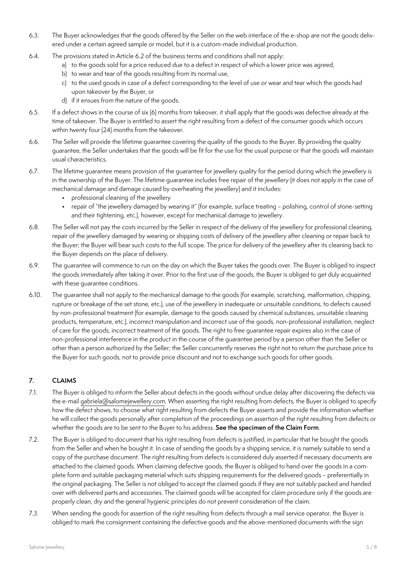- 6.3. The Buyer acknowledges that the goods offered by the Seller on the web interface of the e-shop are not the goods delivered under a certain agreed sample or model, but it is a custom-made individual production.
- 6.4. The provisions stated in Article 6.2 of the business terms and conditions shall not apply:
	- a) to the goods sold for a price reduced due to a defect in respect of which a lower price was agreed,
	- b) to wear and tear of the goods resulting from its normal use,
	- c) to the used goods in case of a defect corresponding to the level of use or wear and tear which the goods had upon takeover by the Buyer, or
	- d) if it ensues from the nature of the goods.
- 6.5. If a defect shows in the course of six (6) months from takeover, it shall apply that the goods was defective already at the time of takeover. The Buyer is entitled to assert the right resulting from a defect of the consumer goods which occurs within twenty four (24) months from the takeover.
- 6.6. The Seller will provide the lifetime guarantee covering the quality of the goods to the Buyer. By providing the quality guarantee, the Seller undertakes that the goods will be fit for the use for the usual purpose or that the goods will maintain usual characteristics.
- 6.7. The lifetime guarantee means provision of the guarantee for jewellery quality for the period during which the jewellery is in the ownership of the Buyer. The lifetime guarantee includes free repair of the jewellery (it does not apply in the case of mechanical damage and damage caused by overheating the jewellery) and it includes:
	- professional cleaning of the jewellery
	- repair of "the jewellery damaged by wearing it" (for example, surface treating polishing, control of stone-setting and their tightening, etc.), however, except for mechanical damage to jewellery.
- 6.8. The Seller will not pay the costs incurred by the Seller in respect of the delivery of the jewellery for professional cleaning, repair of the jewellery damaged by wearing or shipping costs of delivery of the jewellery after cleaning or repair back to the Buyer; the Buyer will bear such costs to the full scope. The price for delivery of the jewellery after its cleaning back to the Buyer depends on the place of delivery.
- 6.9. The guarantee will commence to run on the day on which the Buyer takes the goods over. The Buyer is obliged to inspect the goods immediately after taking it over. Prior to the first use of the goods, the Buyer is obliged to get duly acquainted with these guarantee conditions.
- 6.10. The guarantee shall not apply to the mechanical damage to the goods (for example, scratching, malformation, chipping, rupture or breakage of the set stone, etc.), use of the jewellery in inadequate or unsuitable conditions, to defects caused by non-professional treatment (for example, damage to the goods caused by chemical substances, unsuitable cleaning products, temperature, etc.), incorrect manipulation and incorrect use of the goods, non-professional installation, neglect of care for the goods, incorrect treatment of the goods. The right to free guarantee repair expires also in the case of non-professional interference in the product in the course of the guarantee period by a person other than the Seller or other than a person authorized by the Seller; the Seller concurrently reserves the right not to return the purchase price to the Buyer for such goods, not to provide price discount and not to exchange such goods for other goods.

# **7. CLAIMS**

- 7.1. The Buyer is obliged to inform the Seller about defects in the goods without undue delay after discovering the defects via the e-mail [gabriela@salomejewellery.com](mailto:gabriela%40salomejewellery.com?subject=). When asserting the right resulting from defects, the Buyer is obliged to specify how the defect shows, to choose what right resulting from defects the Buyer asserts and provide the information whether he will collect the goods personally after completion of the proceedings on assertion of the right resulting from defects or whether the goods are to be sent to the Buyer to his address. **See the specimen of the Claim Form**.
- 7.2. The Buyer is obliged to document that his right resulting from defects is justified, in particular that he bought the goods from the Seller and when he bought it. In case of sending the goods by a shipping service, it is namely suitable to send a copy of the purchase document. The right resulting from defects is considered duly asserted if necessary documents are attached to the claimed goods. When claiming defective goods, the Buyer is obliged to hand over the goods in a complete form and suitable packaging material which suits shipping requirements for the delivered goods - preferentially in the original packaging. The Seller is not obliged to accept the claimed goods if they are not suitably packed and handed over with delivered parts and accessories. The claimed goods will be accepted for claim procedure only if the goods are properly clean, dry and the general hygienic principles do not prevent consideration of the claim.
- 7.3. When sending the goods for assertion of the right resulting from defects through a mail service operator, the Buyer is obliged to mark the consignment containing the defective goods and the above-mentioned documents with the sign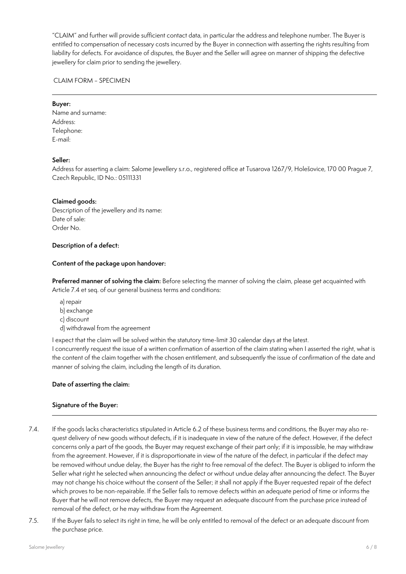"CLAIM" and further will provide sufficient contact data, in particular the address and telephone number. The Buyer is entitled to compensation of necessary costs incurred by the Buyer in connection with asserting the rights resulting from liability for defects. For avoidance of disputes, the Buyer and the Seller will agree on manner of shipping the defective jewellery for claim prior to sending the jewellery.

CLAIM FORM - SPECIMEN

#### **Buyer:**

Name and surname: Address: Telephone: E-mail:

## **Seller:**

Address for asserting a claim: Salome Jewellery s.r.o., registered office at Tusarova 1267/9, Holešovice, 170 00 Prague 7, Czech Republic, ID No.: 05111331

#### **Claimed goods:**

Description of the jewellery and its name: Date of sale: Order No.

#### **Description of a defect:**

#### **Content of the package upon handover:**

**Preferred manner of solving the claim:** Before selecting the manner of solving the claim, please get acquainted with Article 7.4 et seq. of our general business terms and conditions:

- a) repair
- b) exchange
- c) discount
- d) withdrawal from the agreement

I expect that the claim will be solved within the statutory time-limit 30 calendar days at the latest.

I concurrently request the issue of a written confirmation of assertion of the claim stating when I asserted the right, what is the content of the claim together with the chosen entitlement, and subsequently the issue of confirmation of the date and manner of solving the claim, including the length of its duration.

#### **Date of asserting the claim:**

## **Signature of the Buyer:**

- 7.4. If the goods lacks characteristics stipulated in Article 6.2 of these business terms and conditions, the Buyer may also request delivery of new goods without defects, if it is inadequate in view of the nature of the defect. However, if the defect concerns only a part of the goods, the Buyer may request exchange of their part only; if it is impossible, he may withdraw from the agreement. However, if it is disproportionate in view of the nature of the defect, in particular if the defect may be removed without undue delay, the Buyer has the right to free removal of the defect. The Buyer is obliged to inform the Seller what right he selected when announcing the defect or without undue delay after announcing the defect. The Buyer may not change his choice without the consent of the Seller; it shall not apply if the Buyer requested repair of the defect which proves to be non-repairable. If the Seller fails to remove defects within an adequate period of time or informs the Buyer that he will not remove defects, the Buyer may request an adequate discount from the purchase price instead of removal of the defect, or he may withdraw from the Agreement.
- 7.5. If the Buyer fails to select its right in time, he will be only entitled to removal of the defect or an adequate discount from the purchase price.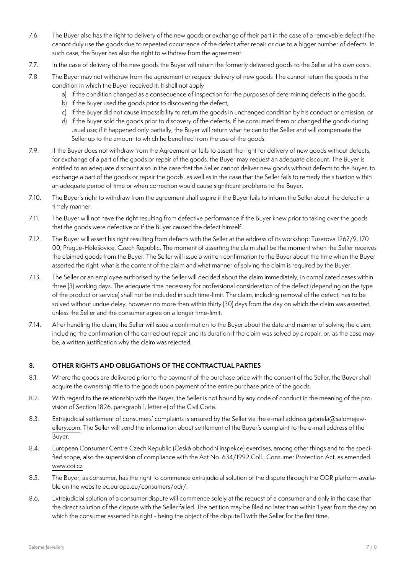- 7.6. The Buyer also has the right to delivery of the new goods or exchange of their part in the case of a removable defect if he cannot duly use the goods due to repeated occurrence of the defect after repair or due to a bigger number of defects. In such case, the Buyer has also the right to withdraw from the agreement.
- 7.7. In the case of delivery of the new goods the Buyer will return the formerly delivered goods to the Seller at his own costs.
- 7.8. The Buyer may not withdraw from the agreement or request delivery of new goods if he cannot return the goods in the condition in which the Buyer received it. It shall not apply
	- a) if the condition changed as a consequence of inspection for the purposes of determining defects in the goods,
	- b) if the Buyer used the goods prior to discovering the defect,
	- c) if the Buyer did not cause impossibility to return the goods in unchanged condition by his conduct or omission, or
	- d) if the Buyer sold the goods prior to discovery of the defects, if he consumed them or changed the goods during usual use; if it happened only partially, the Buyer will return what he can to the Seller and will compensate the Seller up to the amount to which he benefited from the use of the goods.
- 7.9. If the Buyer does not withdraw from the Agreement or fails to assert the right for delivery of new goods without defects, for exchange of a part of the goods or repair of the goods, the Buyer may request an adequate discount. The Buyer is entitled to an adequate discount also in the case that the Seller cannot deliver new goods without defects to the Buyer, to exchange a part of the goods or repair the goods, as well as in the case that the Seller fails to remedy the situation within an adequate period of time or when correction would cause significant problems to the Buyer.
- 7.10. The Buyer's right to withdraw from the agreement shall expire if the Buyer fails to inform the Seller about the defect in a timely manner.
- 7.11. The Buyer will not have the right resulting from defective performance if the Buyer knew prior to taking over the goods that the goods were defective or if the Buyer caused the defect himself.
- 7.12. The Buyer will assert his right resulting from defects with the Seller at the address of its workshop: Tusarova 1267/9, 170 00, Prague-Holešovice, Czech Republic. The moment of asserting the claim shall be the moment when the Seller receives the claimed goods from the Buyer. The Seller will issue a written confirmation to the Buyer about the time when the Buyer asserted the right, what is the content of the claim and what manner of solving the claim is required by the Buyer.
- 7.13. The Seller or an employee authorised by the Seller will decided about the claim immediately, in complicated cases within three (3) working days. The adequate time necessary for professional consideration of the defect (depending on the type of the product or service) shall not be included in such time-limit. The claim, including removal of the defect, has to be solved without undue delay, however no more than within thirty (30) days from the day on which the claim was asserted, unless the Seller and the consumer agree on a longer time-limit.
- 7.14. After handling the claim, the Seller will issue a confirmation to the Buyer about the date and manner of solving the claim, including the confirmation of the carried out repair and its duration if the claim was solved by a repair, or, as the case may be, a written justification why the claim was rejected.

# **8. OTHER RIGHTS AND OBLIGATIONS OF THE CONTRACTUAL PARTIES**

- 8.1. Where the goods are delivered prior to the payment of the purchase price with the consent of the Seller, the Buyer shall acquire the ownership title to the goods upon payment of the entire purchase price of the goods.
- 8.2. With regard to the relationship with the Buyer, the Seller is not bound by any code of conduct in the meaning of the provision of Section 1826, paragraph 1, letter e) of the Civil Code.
- 8.3. Extrajudicial settlement of consumers' complaints is ensured by the Seller via the e-mail address [gabriela@salomejew](mailto:gabriela%40salomejewellery.com?subject=)[ellery.com.](mailto:gabriela%40salomejewellery.com?subject=) The Seller will send the information about settlement of the Buyer's complaint to the e-mail address of the Buyer.
- 8.4. European Consumer Centre Czech Republic (Česká obchodní inspekce) exercises, among other things and to the specified scope, also the supervision of compliance with the Act No. 634/1992 Coll., Consumer Protection Act, as amended. [www.coi.cz](http://www.coi.cz)
- 8.5. The Buyer, as consumer, has the right to commence extrajudicial solution of the dispute through the ODR platform available on the website ec.europa.eu/consumers/odr/.
- 8.6. Extrajudicial solution of a consumer dispute will commence solely at the request of a consumer and only in the case that the direct solution of the dispute with the Seller failed. The petition may be filed no later than within 1 year from the day on which the consumer asserted his right - being the object of the dispute – with the Seller for the first time.